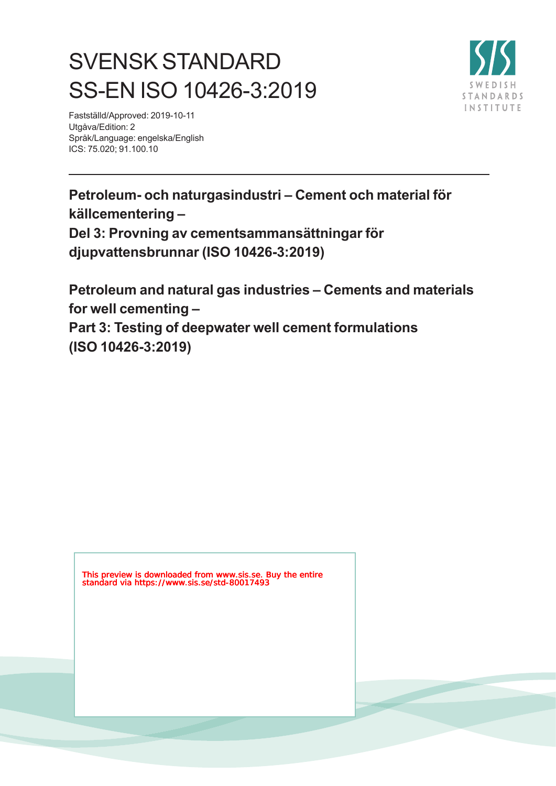# SVENSK STANDARD SS-EN ISO 10426-3:2019



Fastställd/Approved: 2019-10-11 Utgåva/Edition: 2 Språk/Language: engelska/English ICS: 75.020; 91.100.10

**Petroleum- och naturgasindustri – Cement och material för källcementering – Del 3: Provning av cementsammansättningar för djupvattensbrunnar (ISO 10426-3:2019)**

**Petroleum and natural gas industries – Cements and materials for well cementing – Part 3: Testing of deepwater well cement formulations (ISO 10426-3:2019)**

This preview is downloaded from www.sis.se. Buy the entire standard via https://www.sis.se/std-80017493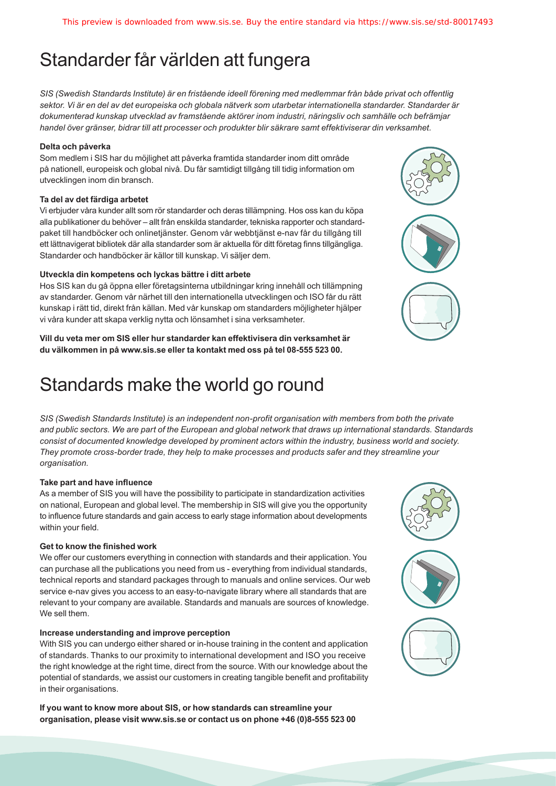## Standarder får världen att fungera

*SIS (Swedish Standards Institute) är en fristående ideell förening med medlemmar från både privat och offentlig sektor. Vi är en del av det europeiska och globala nätverk som utarbetar internationella standarder. Standarder är dokumenterad kunskap utvecklad av framstående aktörer inom industri, näringsliv och samhälle och befrämjar handel över gränser, bidrar till att processer och produkter blir säkrare samt effektiviserar din verksamhet.* 

#### **Delta och påverka**

Som medlem i SIS har du möjlighet att påverka framtida standarder inom ditt område på nationell, europeisk och global nivå. Du får samtidigt tillgång till tidig information om utvecklingen inom din bransch.

### **Ta del av det färdiga arbetet**

Vi erbjuder våra kunder allt som rör standarder och deras tillämpning. Hos oss kan du köpa alla publikationer du behöver – allt från enskilda standarder, tekniska rapporter och standardpaket till handböcker och onlinetjänster. Genom vår webbtjänst e-nav får du tillgång till ett lättnavigerat bibliotek där alla standarder som är aktuella för ditt företag finns tillgängliga. Standarder och handböcker är källor till kunskap. Vi säljer dem.

#### **Utveckla din kompetens och lyckas bättre i ditt arbete**

Hos SIS kan du gå öppna eller företagsinterna utbildningar kring innehåll och tillämpning av standarder. Genom vår närhet till den internationella utvecklingen och ISO får du rätt kunskap i rätt tid, direkt från källan. Med vår kunskap om standarders möjligheter hjälper vi våra kunder att skapa verklig nytta och lönsamhet i sina verksamheter.

**Vill du veta mer om SIS eller hur standarder kan effektivisera din verksamhet är du välkommen in på www.sis.se eller ta kontakt med oss på tel 08-555 523 00.**

## Standards make the world go round

*SIS (Swedish Standards Institute) is an independent non-profit organisation with members from both the private and public sectors. We are part of the European and global network that draws up international standards. Standards consist of documented knowledge developed by prominent actors within the industry, business world and society. They promote cross-border trade, they help to make processes and products safer and they streamline your organisation.*

#### **Take part and have influence**

As a member of SIS you will have the possibility to participate in standardization activities on national, European and global level. The membership in SIS will give you the opportunity to influence future standards and gain access to early stage information about developments within your field.

#### **Get to know the finished work**

We offer our customers everything in connection with standards and their application. You can purchase all the publications you need from us - everything from individual standards, technical reports and standard packages through to manuals and online services. Our web service e-nav gives you access to an easy-to-navigate library where all standards that are relevant to your company are available. Standards and manuals are sources of knowledge. We sell them.

#### **Increase understanding and improve perception**

With SIS you can undergo either shared or in-house training in the content and application of standards. Thanks to our proximity to international development and ISO you receive the right knowledge at the right time, direct from the source. With our knowledge about the potential of standards, we assist our customers in creating tangible benefit and profitability in their organisations.

**If you want to know more about SIS, or how standards can streamline your organisation, please visit www.sis.se or contact us on phone +46 (0)8-555 523 00**



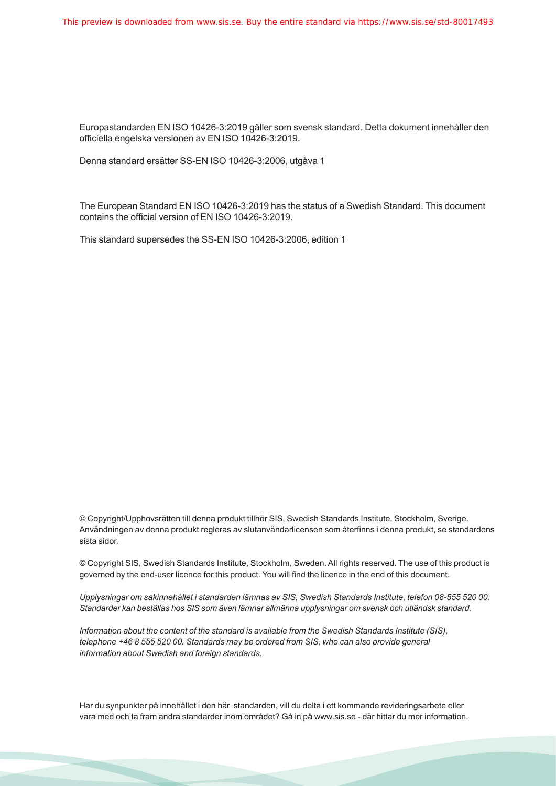Europastandarden EN ISO 10426-3:2019 gäller som svensk standard. Detta dokument innehåller den officiella engelska versionen av EN ISO 10426-3:2019.

Denna standard ersätter SS-EN ISO 10426-3:2006, utgåva 1

The European Standard EN ISO 10426-3:2019 has the status of a Swedish Standard. This document contains the official version of EN ISO 10426-3:2019.

This standard supersedes the SS-EN ISO 10426-3:2006, edition 1

© Copyright/Upphovsrätten till denna produkt tillhör SIS, Swedish Standards Institute, Stockholm, Sverige. Användningen av denna produkt regleras av slutanvändarlicensen som återfinns i denna produkt, se standardens sista sidor.

© Copyright SIS, Swedish Standards Institute, Stockholm, Sweden. All rights reserved. The use of this product is governed by the end-user licence for this product. You will find the licence in the end of this document.

*Upplysningar om sakinnehållet i standarden lämnas av SIS, Swedish Standards Institute, telefon 08-555 520 00. Standarder kan beställas hos SIS som även lämnar allmänna upplysningar om svensk och utländsk standard.*

*Information about the content of the standard is available from the Swedish Standards Institute (SIS), telephone +46 8 555 520 00. Standards may be ordered from SIS, who can also provide general information about Swedish and foreign standards.*

Har du synpunkter på innehållet i den här standarden, vill du delta i ett kommande revideringsarbete eller vara med och ta fram andra standarder inom området? Gå in på www.sis.se - där hittar du mer information.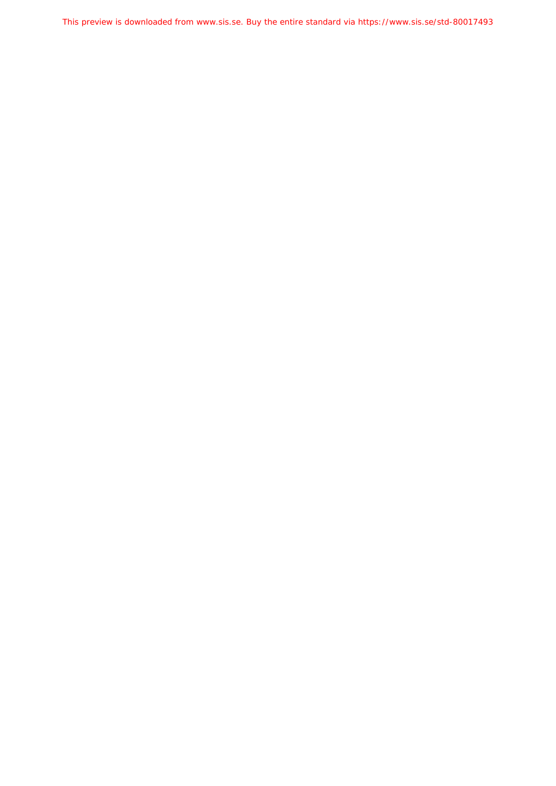This preview is downloaded from www.sis.se. Buy the entire standard via https://www.sis.se/std-80017493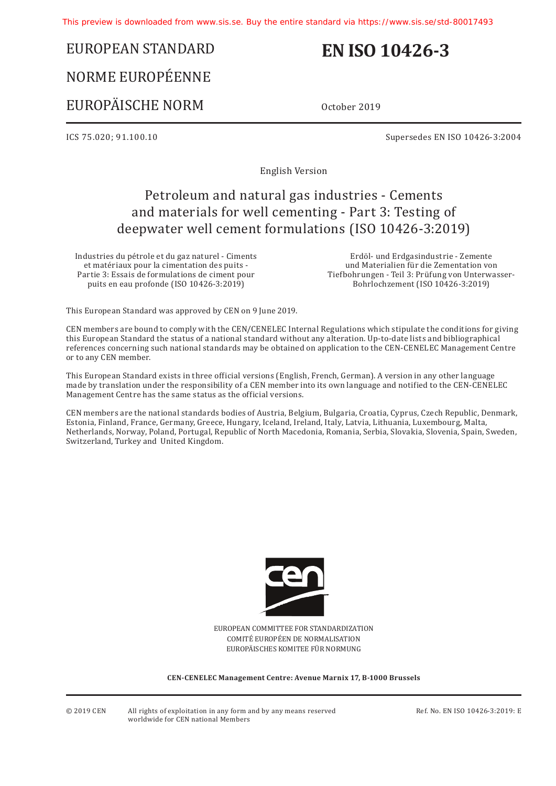### EUROPEAN STANDARD

## **EN ISO 10426-3**

### NORME EUROPÉENNE

## EUROPÄISCHE NORM

October 2019

ICS 75.020; 91.100.10 Supersedes EN ISO 10426-3:2004

English Version

### Petroleum and natural gas industries - Cements and materials for well cementing - Part 3: Testing of deepwater well cement formulations (ISO 10426-3:2019)

Industries du pétrole et du gaz naturel - Ciments et matériaux pour la cimentation des puits - Partie 3: Essais de formulations de ciment pour puits en eau profonde (ISO 10426-3:2019)

Erdöl- und Erdgasindustrie - Zemente und Materialien für die Zementation von Tiefbohrungen - Teil 3: Prüfung von Unterwasser-Bohrlochzement (ISO 10426-3:2019)

This European Standard was approved by CEN on 9 June 2019.

CEN members are bound to comply with the CEN/CENELEC Internal Regulations which stipulate the conditions for giving this European Standard the status of a national standard without any alteration. Up-to-date lists and bibliographical references concerning such national standards may be obtained on application to the CEN-CENELEC Management Centre or to any CEN member.

This European Standard exists in three official versions (English, French, German). A version in any other language made by translation under the responsibility of a CEN member into its own language and notified to the CEN-CENELEC Management Centre has the same status as the official versions.

CEN members are the national standards bodies of Austria, Belgium, Bulgaria, Croatia, Cyprus, Czech Republic, Denmark, Estonia, Finland, France, Germany, Greece, Hungary, Iceland, Ireland, Italy, Latvia, Lithuania, Luxembourg, Malta, Netherlands, Norway, Poland, Portugal, Republic of North Macedonia, Romania, Serbia, Slovakia, Slovenia, Spain, Sweden, Switzerland, Turkey and United Kingdom.



EUROPEAN COMMITTEE FOR STANDARDIZATION COMITÉ EUROPÉEN DE NORMALISATION EUROPÄISCHES KOMITEE FÜR NORMUNG

**CEN-CENELEC Management Centre: Avenue Marnix 17, B-1000 Brussels**

© 2019 CEN All rights of exploitation in any form and by any means reserved Ref. No. EN ISO 10426-3:2019: E worldwide for CEN national Members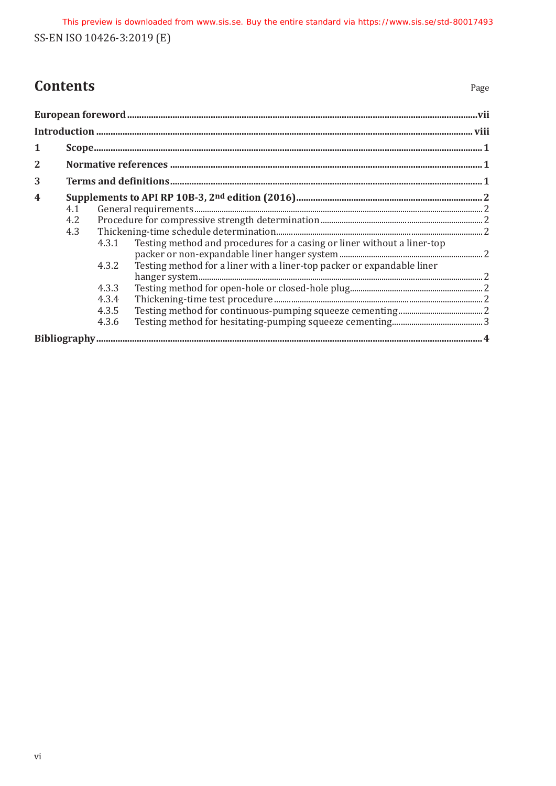## **Contents**

| . .<br>۹<br>×<br>w<br>v |
|-------------------------|
|-------------------------|

| 3                |     |       |                                                                                               |  |  |
|------------------|-----|-------|-----------------------------------------------------------------------------------------------|--|--|
| $\boldsymbol{4}$ |     |       |                                                                                               |  |  |
|                  | 4.1 |       |                                                                                               |  |  |
|                  | 4.2 |       |                                                                                               |  |  |
|                  | 4.3 |       |                                                                                               |  |  |
|                  |     | 4.3.1 | Testing method and procedures for a casing or liner without a liner-top                       |  |  |
|                  |     | 4.3.2 | Testing method for a liner with a liner-top packer or expandable liner                        |  |  |
|                  |     | 4.3.3 | $\label{eq:Testing} \text{Testing method for open-hole or closed-hole plug.} \vspace{-0.1cm}$ |  |  |
|                  |     | 4.3.4 |                                                                                               |  |  |
|                  |     | 4.3.5 |                                                                                               |  |  |
|                  |     | 4.3.6 |                                                                                               |  |  |
|                  |     |       |                                                                                               |  |  |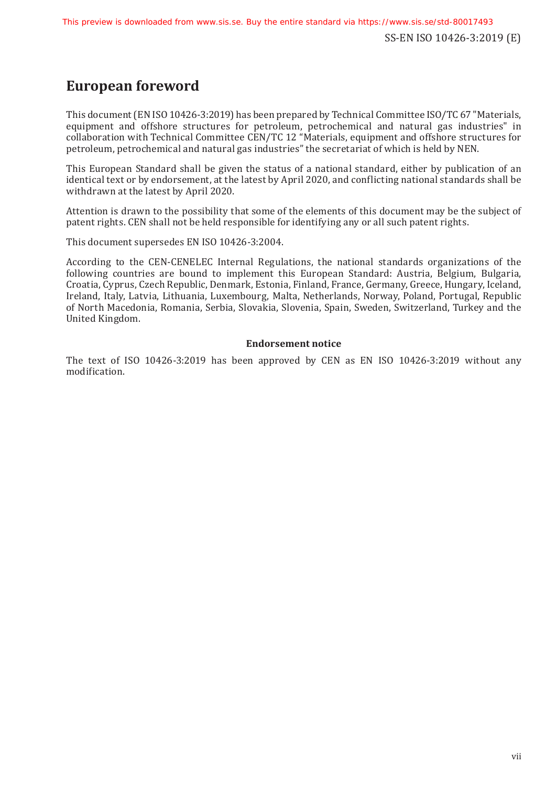### <span id="page-6-0"></span>**European foreword**

This document (EN ISO 10426-3:2019) has been prepared by Technical Committee ISO/TC 67 "Materials, equipment and offshore structures for petroleum, petrochemical and natural gas industries" in collaboration with Technical Committee CEN/TC 12 "Materials, equipment and offshore structures for petroleum, petrochemical and natural gas industries" the secretariat of which is held by NEN.

This European Standard shall be given the status of a national standard, either by publication of an identical text or by endorsement, at the latest by April 2020, and conflicting national standards shall be withdrawn at the latest by April 2020.

Attention is drawn to the possibility that some of the elements of this document may be the subject of patent rights. CEN shall not be held responsible for identifying any or all such patent rights.

This document supersedes EN ISO 10426-3:2004.

According to the CEN-CENELEC Internal Regulations, the national standards organizations of the following countries are bound to implement this European Standard: Austria, Belgium, Bulgaria, Croatia, Cyprus, Czech Republic, Denmark, Estonia, Finland, France, Germany, Greece, Hungary, Iceland, Ireland, Italy, Latvia, Lithuania, Luxembourg, Malta, Netherlands, Norway, Poland, Portugal, Republic of North Macedonia, Romania, Serbia, Slovakia, Slovenia, Spain, Sweden, Switzerland, Turkey and the United Kingdom.

### **Endorsement notice**

The text of ISO 10426-3:2019 has been approved by CEN as EN ISO 10426-3:2019 without any modification.